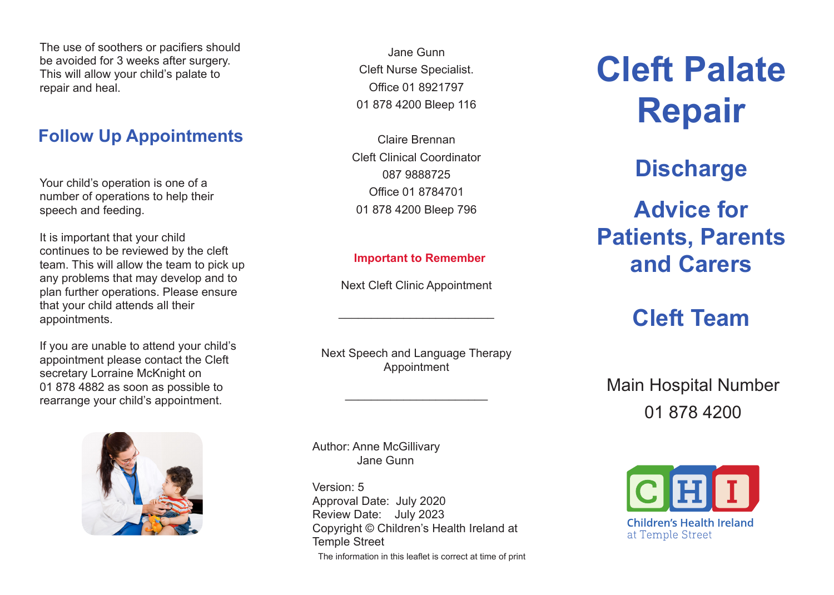The use of soothers or pacifiers should be avoided for 3 weeks after surgery. This will allow your child's palate to repair and heal.

# **Follow Up Appointments**

Your child's operation is one of a number of operations to help their speech and feeding.

It is important that your child continues to be reviewed by the cleft team. This will allow the team to pick up any problems that may develop and to plan further operations. Please ensure that your child attends all their appointments.

If you are unable to attend your child's appointment please contact the Cleft secretary Lorraine McKnight on 01 878 4882 as soon as possible to rearrange your child's appointment.



Jane Gunn Cleft Nurse Specialist. Office 01 8921797 01 878 4200 Bleep 116

Claire Brennan Cleft Clinical Coordinator 087 9888725 Office 01 8784701 01 878 4200 Bleep 796

#### **Important to Remember**

Next Cleft Clinic Appointment

\_\_\_\_\_\_\_\_\_\_\_\_\_\_\_\_\_\_\_\_\_\_\_\_

Next Speech and Language Therapy Appointment

\_\_\_\_\_\_\_\_\_\_\_\_\_\_\_\_\_\_\_\_\_\_

Author: Anne McGillivary Jane Gunn

Version: 5 Approval Date: July 2020 Review Date: July 2023 Copyright © Children's Health Ireland at Temple Street The information in this leaflet is correct at time of print **Cleft Palate Repair Discharge Advice for Patients, Parents and Carers**

# **Cleft Team**

Main Hospital Number 01 878 4200